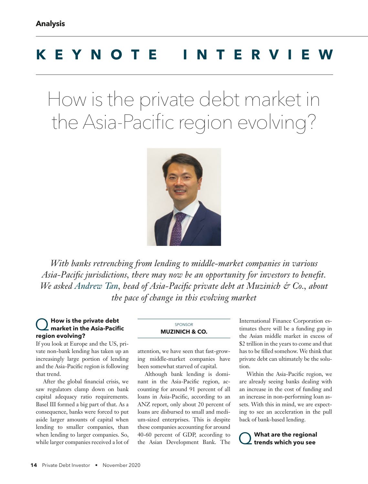# **KEYNOTE INTERVIEW**

How is the private debt market in the Asia-Pacific region evolving?



*With banks retrenching from lending to middle-market companies in various Asia-Pacific jurisdictions, there may now be an opportunity for investors to benefit. We asked Andrew Tan, head of Asia-Pacific private debt at Muzinich & Co., about the pace of change in this evolving market*

## Q **How is the private debt market in the Asia-Pacific region evolving?**

If you look at Europe and the US, private non-bank lending has taken up an increasingly large portion of lending and the Asia-Pacific region is following that trend.

After the global financial crisis, we saw regulators clamp down on bank capital adequacy ratio requirements. Basel III formed a big part of that. As a consequence, banks were forced to put aside larger amounts of capital when lending to smaller companies, than when lending to larger companies. So, while larger companies received a lot of

#### SPONSOR **MUZINICH & CO.**

attention, we have seen that fast-growing middle-market companies have been somewhat starved of capital.

Although bank lending is dominant in the Asia-Pacific region, accounting for around 91 percent of all loans in Asia-Pacific, according to an ANZ report, only about 20 percent of loans are disbursed to small and medium-sized enterprises. This is despite these companies accounting for around 40-60 percent of GDP, according to the Asian Development Bank. The

International Finance Corporation estimates there will be a funding gap in the Asian middle market in excess of \$2 trillion in the years to come and that has to be filled somehow. We think that private debt can ultimately be the solution.

Within the Asia-Pacific region, we are already seeing banks dealing with an increase in the cost of funding and an increase in non-performing loan assets. With this in mind, we are expecting to see an acceleration in the pull back of bank-based lending.

**What are the regional trends which you see**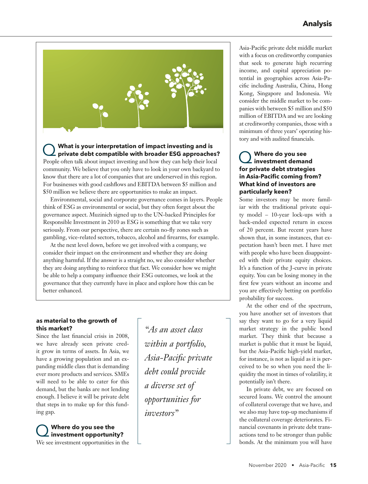

Q **What is your interpretation of impact investing and is private debt compatible with broader ESG approaches?** People often talk about impact investing and how they can help their local community. We believe that you only have to look in your own backyard to know that there are a lot of companies that are underserved in this region.

For businesses with good cashflows and EBITDA between \$5 million and \$50 million we believe there are opportunities to make an impact. Environmental, social and corporate governance comes in layers. People think of ESG as environmental or social, but they often forget about the governance aspect. Muzinich signed up to the UN-backed Principles for Responsible Investment in 2010 as ESG is something that we take very seriously. From our perspective, there are certain no-fly zones such as gambling, vice-related sectors, tobacco, alcohol and firearms, for example.

At the next level down, before we get involved with a company, we consider their impact on the environment and whether they are doing anything harmful. If the answer is a straight no, we also consider whether they are doing anything to reinforce that fact. We consider how we might be able to help a company influence their ESG outcomes, we look at the governance that they currently have in place and explore how this can be better enhanced.

#### **as material to the growth of this market?**

Since the last financial crisis in 2008, we have already seen private credit grow in terms of assets. In Asia, we have a growing population and an expanding middle class that is demanding ever more products and services. SMEs will need to be able to cater for this demand, but the banks are not lending enough. I believe it will be private debt that steps in to make up for this funding gap.

Q **Where do you see the investment opportunity?**

We see investment opportunities in the

*"As an asset class within a portfolio, Asia-Pacific private debt could provide a diverse set of opportunities for investors"*

Asia-Pacific private debt middle market with a focus on creditworthy companies that seek to generate high recurring income, and capital appreciation potential in geographies across Asia-Pacific including Australia, China, Hong Kong, Singapore and Indonesia. We consider the middle market to be companies with between \$5 million and \$50 million of EBITDA and we are looking at creditworthy companies, those with a minimum of three years' operating history and with audited financials.

### Q **Where do you see investment demand for private debt strategies in Asia-Pacific coming from? What kind of investors are particularly keen?**

Some investors may be more familiar with the traditional private equity model – 10-year lock-ups with a back-ended expected return in excess of 20 percent. But recent years have shown that, in some instances, that expectation hasn't been met. I have met with people who have been disappointed with their private equity choices. It's a function of the J-curve in private equity. You can be losing money in the first few years without an income and you are effectively betting on portfolio probability for success.

At the other end of the spectrum, you have another set of investors that say they want to go for a very liquid market strategy in the public bond market. They think that because a market is public that it must be liquid, but the Asia-Pacific high-yield market, for instance, is not as liquid as it is perceived to be so when you need the liquidity the most in times of volatility, it potentially isn't there.

In private debt, we are focused on secured loans. We control the amount of collateral coverage that we have, and we also may have top-up mechanisms if the collateral coverage deteriorates. Financial covenants in private debt transactions tend to be stronger than public bonds. At the minimum you will have